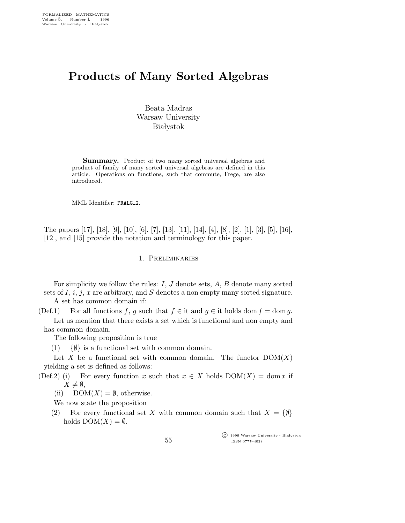# Products of Many Sorted Algebras

Beata Madras Warsaw University **Białystok** 

Summary. Product of two many sorted universal algebras and product of family of many sorted universal algebras are defined in this article. Operations on functions, such that commute, Frege, are also introduced.

MML Identifier: PRALG\_2.

The papers [17], [18], [9], [10], [6], [7], [13], [11], [14], [4], [8], [2], [1], [3], [5], [16], [12], and [15] provide the notation and terminology for this paper.

# 1. Preliminaries

For simplicity we follow the rules: I, J denote sets, A, B denote many sorted sets of  $I, i, j, x$  are arbitrary, and  $S$  denotes a non empty many sorted signature. A set has common domain if:

(Def.1) For all functions f, g such that  $f \in \text{it}$  and  $g \in \text{it}$  holds dom  $f = \text{dom } g$ . Let us mention that there exists a set which is functional and non empty and has common domain.

The following proposition is true

 $(1)$  { $\emptyset$ } is a functional set with common domain.

Let X be a functional set with common domain. The functor  $DOM(X)$ yielding a set is defined as follows:

- (Def.2) (i) For every function x such that  $x \in X$  holds  $DOM(X) = dom x$  if  $X \neq \emptyset$ ,
	- (ii)  $DOM(X) = \emptyset$ , otherwise.

We now state the proposition

(2) For every functional set X with common domain such that  $X = \{\emptyset\}$ holds  $DOM(X) = \emptyset$ .

> $\overline{\text{C}}$  1996 Warsaw University - Białystok ISSN 0777–4028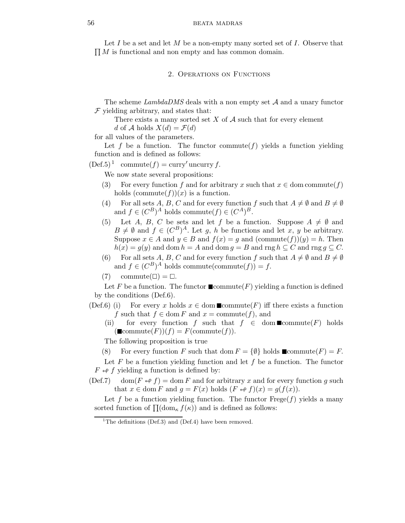Let I be a set and let M be a non-empty many sorted set of I. Observe that  $\prod M$  is functional and non empty and has common domain.

2. Operations on Functions

The scheme  $Lambda DMS$  deals with a non empty set  $A$  and a unary functor  $F$  yielding arbitrary, and states that:

There exists a many sorted set  $X$  of  $A$  such that for every element

d of A holds  $X(d) = \mathcal{F}(d)$ 

for all values of the parameters.

Let f be a function. The functor commute  $(f)$  yields a function yielding function and is defined as follows:

 $(\text{Def.5})^1$  commute $(f) = \text{curry}'$  uncurry f.

We now state several propositions:

- (3) For every function f and for arbitrary x such that  $x \in \text{dom commute}(f)$ holds  $(commute(f))(x)$  is a function.
- (4) For all sets A, B, C and for every function f such that  $A \neq \emptyset$  and  $B \neq \emptyset$ and  $f \in (C^B)^A$  holds commute $(f) \in (C^A)^B$ .
- (5) Let A, B, C be sets and let f be a function. Suppose  $A \neq \emptyset$  and  $B \neq \emptyset$  and  $f \in (C^B)^A$ . Let g, h be functions and let x, y be arbitrary. Suppose  $x \in A$  and  $y \in B$  and  $f(x) = g$  and  $(\text{commute}(f))(y) = h$ . Then  $h(x) = g(y)$  and dom  $h = A$  and dom  $g = B$  and rng  $h \subseteq C$  and rng  $g \subseteq C$ .
- (6) For all sets A, B, C and for every function f such that  $A \neq \emptyset$  and  $B \neq \emptyset$ and  $f \in (C^B)^A$  holds commute(commute(f)) = f.
- $(7)$  commute $(\square) = \square$ .

Let F be a function. The functor  $\blacksquare$ commute(F) yielding a function is defined by the conditions (Def.6).

- (Def.6) (i) For every x holds  $x \in \text{dom } \blacksquare \text{commute}(F)$  iff there exists a function f such that  $f \in \text{dom } F$  and  $x = \text{commute}(f)$ , and
	- (ii) for every function f such that  $f \in \text{dom}\,\blacksquare\text{commute}(F)$  holds  $(\mathbb{I}\text{commute}(F))(f) = F(\text{commute}(f)).$

The following proposition is true

(8) For every function F such that dom  $F = \{\emptyset\}$  holds  $\blacksquare$ commute(F) = F.

Let  $F$  be a function yielding function and let  $f$  be a function. The functor  $F \leftrightarrow f$  yielding a function is defined by:

(Def.7) dom( $F \leftrightarrow f$ ) = dom F and for arbitrary x and for every function g such that  $x \in \text{dom } F$  and  $g = F(x)$  holds  $(F \leftrightarrow f)(x) = g(f(x)).$ 

Let f be a function yielding function. The functor  $Fregef)$  yields a many sorted function of  $\Pi(\text{dom}_{\kappa} f(\kappa))$  and is defined as follows:

<sup>&</sup>lt;sup>1</sup>The definitions (Def.3) and (Def.4) have been removed.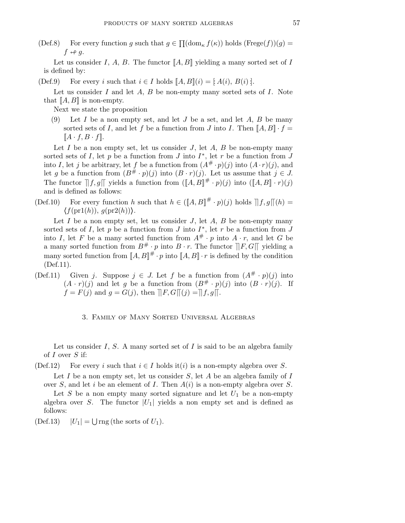(Def.8) For every function g such that  $g \in \prod(\mathrm{dom}_{\kappa} f(\kappa))$  holds  $(Frege(f))(g)$  $f \leftrightarrow g$ .

Let us consider I, A, B. The functor  $[[A, B]]$  yielding a many sorted set of I is defined by:

(Def.9) For every i such that  $i \in I$  holds  $[[A, B]](i) = [A(i), B(i)]$ .

Let us consider I and let  $A, B$  be non-empty many sorted sets of I. Note that  $\llbracket A, B \rrbracket$  is non-empty.

Next we state the proposition

(9) Let I be a non empty set, and let J be a set, and let  $A, B$  be many sorted sets of I, and let f be a function from J into I. Then  $[[A, B] \cdot f =$  $\llbracket A \cdot f, B \cdot f \rrbracket$ .

Let I be a non empty set, let us consider J, let A, B be non-empty many sorted sets of I, let p be a function from J into  $I^*$ , let r be a function from J into I, let j be arbitrary, let f be a function from  $(A^{\#} \cdot p)(j)$  into  $(A \cdot r)(j)$ , and let g be a function from  $(B^{\#} \cdot p)(j)$  into  $(B \cdot r)(j)$ . Let us assume that  $j \in J$ . The functor  $\|f, g\|$  yields a function from  $(\|A, B\|^{\#} \cdot p)(j)$  into  $(\|A, B\| \cdot r)(j)$ and is defined as follows:

(Def.10) For every function h such that  $h \in (\llbracket A, B \rrbracket^{\#} \cdot p)(j)$  holds  $\llbracket f, g \rrbracket(h) =$  $\langle f(\text{pr1}(h)), g(\text{pr2}(h)) \rangle$ .

Let  $I$  be a non empty set, let us consider  $J$ , let  $A$ ,  $B$  be non-empty many sorted sets of I, let p be a function from J into  $I^*$ , let r be a function from J into I, let F be a many sorted function from  $A^{\#} \cdot p$  into  $A \cdot r$ , and let G be a many sorted function from  $B^{\#} \cdot p$  into  $B \cdot r$ . The functor  $\Vert F, G \Vert$  yielding a many sorted function from  $[[A, B]]^{\#} \cdot p$  into  $[[A, B]] \cdot r$  is defined by the condition (Def.11).

(Def.11) Given j. Suppose  $j \in J$ . Let f be a function from  $(A^{\#} \cdot p)(j)$  into  $(A \cdot r)(j)$  and let g be a function from  $(B^{\#} \cdot p)(j)$  into  $(B \cdot r)(j)$ . If  $f = F(j)$  and  $g = G(j)$ , then  $\Vert F, G \Vert (j) = \Vert f, g \Vert$ .

3. Family of Many Sorted Universal Algebras

Let us consider I, S. A many sorted set of I is said to be an algebra family of  $I$  over  $S$  if:

(Def.12) For every i such that  $i \in I$  holds it(i) is a non-empty algebra over S.

Let I be a non empty set, let us consider  $S$ , let A be an algebra family of I over S, and let i be an element of I. Then  $A(i)$  is a non-empty algebra over S. Let  $S$  be a non empty many sorted signature and let  $U_1$  be a non-empty algebra over S. The functor  $|U_1|$  yields a non empty set and is defined as follows:

 $(Def.13)$  $\bigcup$  rng (the sorts of  $U_1$ ).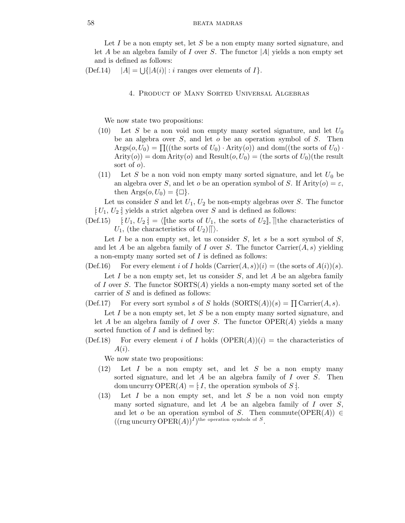Let I be a non empty set, let S be a non empty many sorted signature, and let A be an algebra family of I over S. The functor  $|A|$  yields a non empty set and is defined as follows:

 $(Def.14)$  $\bigcup \{ |A(i)| : i \text{ ranges over elements of } I \}.$ 

### 4. Product of Many Sorted Universal Algebras

We now state two propositions:

- (10) Let S be a non void non empty many sorted signature, and let  $U_0$ be an algebra over  $S$ , and let  $o$  be an operation symbol of  $S$ . Then  $\operatorname{Arg}(o, U_0) = \prod((\text{the sorts of } U_0) \cdot \operatorname{Arity}(o))$  and  $\operatorname{dom}((\text{the sorts of } U_0) \cdot$  $Arity(o) = dom Arity(o)$  and  $Result(o, U_0) = (the sorts of U_0)(the result)$ sort of  $o$ ).
- (11) Let S be a non void non empty many sorted signature, and let  $U_0$  be an algebra over S, and let o be an operation symbol of S. If Arity $(o) = \varepsilon$ , then  $\text{Args}(o, U_0) = {\square}.$

Let us consider  $S$  and let  $U_1, U_2$  be non-empty algebras over  $S$ . The functor  $[U_1, U_2]$  yields a strict algebra over S and is defined as follows:

(Def.15)  $[U_1, U_2] = \langle [\text{the sorts of } U_1, \text{ the sorts of } U_2] \rangle,$  the characteristics of  $U_1$ , (the characteristics of  $U_2$ ) $\parallel$ ).

Let  $I$  be a non empty set, let us consider  $S$ , let  $s$  be a sort symbol of  $S$ , and let A be an algebra family of I over S. The functor  $\text{Carrier}(A, s)$  yielding a non-empty many sorted set of  $I$  is defined as follows:

(Def.16) For every element i of I holds  $(Carrier(A, s))(i) = (the sorts of A(i))(s).$ Let  $I$  be a non empty set, let us consider  $S$ , and let  $A$  be an algebra family of I over S. The functor  $SORTS(A)$  yields a non-empty many sorted set of the carrier of S and is defined as follows:

(Def.17) For every sort symbol s of S holds  $(SORTS(A))(s) = \prod Carrier(A, s)$ . Let  $I$  be a non empty set, let  $S$  be a non empty many sorted signature, and let A be an algebra family of I over S. The functor  $OPER(A)$  yields a many sorted function of I and is defined by:

(Def.18) For every element i of I holds  $(OPER(A))(i)$  = the characteristics of  $A(i).$ 

We now state two propositions:

- $(12)$  Let I be a non empty set, and let S be a non empty many sorted signature, and let A be an algebra family of I over S. Then dom uncurry OPER(A) = [: I, the operation symbols of S :].
- $(13)$  Let I be a non empty set, and let S be a non void non empty many sorted signature, and let  $A$  be an algebra family of  $I$  over  $S$ , and let o be an operation symbol of S. Then commute( $OPER(A)) \in$  $((\text{rng uncertainty OPER}(A))^I)^{\text{the operation symbols of }S}.$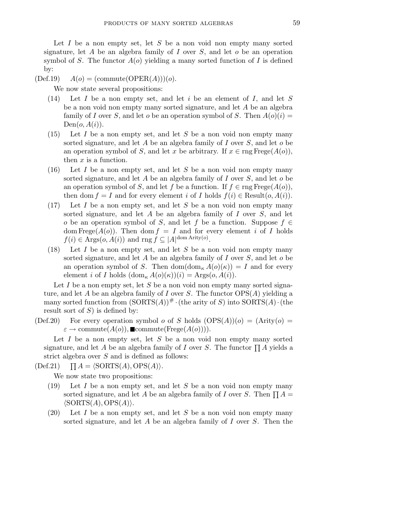Let  $I$  be a non empty set, let  $S$  be a non void non empty many sorted signature, let A be an algebra family of I over S, and let  $o$  be an operation symbol of S. The functor  $A(o)$  yielding a many sorted function of I is defined by:

 $(\text{Def.19}) \quad A(o) = (\text{commute}(\text{OPER}(A)))(o).$ 

We now state several propositions:

- $(14)$  Let I be a non empty set, and let i be an element of I, and let S be a non void non empty many sorted signature, and let A be an algebra family of I over S, and let o be an operation symbol of S. Then  $A(o)(i) =$  $Den(o, A(i)).$
- $(15)$  Let I be a non empty set, and let S be a non void non empty many sorted signature, and let A be an algebra family of I over S, and let  $o$  be an operation symbol of S, and let x be arbitrary. If  $x \in \text{rng} \text{Free}(A(o)),$ then  $x$  is a function.
- $(16)$  Let I be a non empty set, and let S be a non void non empty many sorted signature, and let A be an algebra family of I over  $S$ , and let  $o$  be an operation symbol of S, and let f be a function. If  $f \in \text{rng} \text{Free}(A(o)),$ then dom  $f = I$  and for every element i of I holds  $f(i) \in Result(o, A(i))$ .
- $(17)$  Let I be a non empty set, and let S be a non void non empty many sorted signature, and let  $A$  be an algebra family of  $I$  over  $S$ , and let o be an operation symbol of S, and let f be a function. Suppose  $f \in$ dom Frege $(A(o))$ . Then dom  $f = I$  and for every element i of I holds  $f(i) \in \text{Args}(o, \hat{A}(i))$  and  $\text{rng } \hat{f} \subseteq |A|^{\text{dom Arity}(o)}$ .
- (18) Let  $I$  be a non empty set, and let  $S$  be a non void non empty many sorted signature, and let  $A$  be an algebra family of  $I$  over  $S$ , and let  $o$  be an operation symbol of S. Then  $\text{dom}_{\kappa} A(o)(\kappa) = I$  and for every element *i* of *I* holds  $(\text{dom}_{\kappa} A(o)(\kappa))(i) = \text{Args}(o, A(i)).$

Let  $I$  be a non empty set, let  $S$  be a non void non empty many sorted signature, and let A be an algebra family of I over S. The functor  $OPS(A)$  yielding a many sorted function from  $(SORTS(A))$ <sup>#</sup> · (the arity of S) into  $SORTS(A)$  · (the result sort of  $S$ ) is defined by:

(Def.20) For every operation symbol *o* of *S* holds  $(OPS(A))(o) = (Arity(o) =$  $\varepsilon \to \mathrm{commute}(A(o)), \blacksquare \mathrm{commute}(\mathrm{Frege}(A(o))).$ 

Let I be a non empty set, let S be a non void non empty many sorted signature, and let A be an algebra family of I over S. The functor  $\prod A$  yields a strict algebra over  $S$  and is defined as follows:

 $(Def.21)$  $\prod A = \langle \text{SORTS}(A), \text{OPS}(A) \rangle.$ 

We now state two propositions:

- (19) Let I be a non empty set, and let S be a non void non empty many sorted signature, and let A be an algebra family of I over S. Then  $\prod A$  =  $\langle$ SORTS $(A),$ OPS $(A)\rangle$ .
- (20) Let I be a non empty set, and let S be a non void non empty many sorted signature, and let  $A$  be an algebra family of  $I$  over  $S$ . Then the